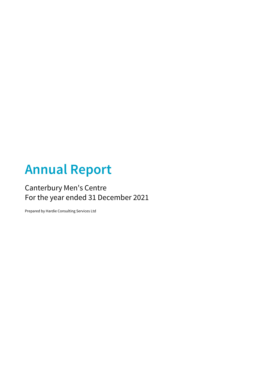# **Annual Report**

## Canterbury Men's Centre For the year ended 31 December 2021

Prepared by Hardie Consulting Services Ltd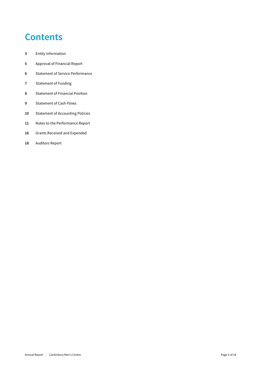## **Contents**

- Entity Information
- Approval of Financial Report
- Statement of Service Performance
- Statement of Funding
- Statement of Financial Position
- Statement of Cash Flows
- Statement of Accounting Policies
- Notes to the Performance Report
- Grants Received and Expended
- Auditors Report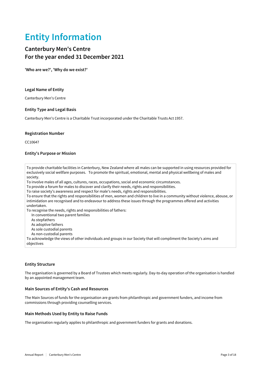## **Entity Information**

## **Canterbury Men's Centre For the year ended 31 December 2021**

**'Who are we?', 'Why do we exist?'**

#### **Legal Name of Entity**

Canterbury Men's Centre

### **Entity Type and Legal Basis**

Canterbury Men's Centre is a Charitable Trust incorporated under the Charitable Trusts Act 1957.

#### **Registration Number**

CC10647

#### **Entity's Purpose or Mission**

To provide charitable facilities in Canterbury, New Zealand where all males can be supported in using resources provided for exclusively social wellfare purposes. To promote the spiritual, emotional, mental and physical wellbeing of males and society.

To involve males of all ages, cultures, races, occupations, social and economic circumstances.

To provide a forum for males to discover and clarify their needs, rights and responsibilities.

To raise society's awareness and respect for male's needs, rights and responsibilities.

To ensure that the rights and responsibilities of men, women and children to live in a community without violence, abouse, or intimidation are recognised and to endeavour to address these issues through the programmes offered and activities undertaken.

To recognise the needs, rights and responsibilities of fathers:

In conventional two parent families

As stepfathers

As adoptive fathers

As sole custodial parents

As non-custodial parents

To acknowledge the views of other individuals and groups in our Society that will compliment the Society's aims and objectives

### **Entity Structure**

The organisation is governed by a Board of Trustees which meets regularly. Day-to-day operation of the organisation is handled by an appointed management team.

#### **Main Sources of Entity's Cash and Resources**

The Main Sources of funds for the organisation are grants from philanthropic and government funders, and income from commissions through providing counselling services.

#### **Main Methods Used by Entity to Raise Funds**

The organisation regularly applies to philanthropic and government funders for grants and donations.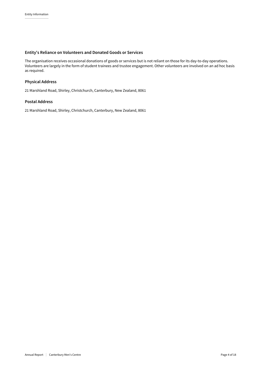## **Entity's Reliance on Volunteers and Donated Goods or Services**

The organisation receives occasional donations of goods or services but is not reliant on those for its day-to-day operations. Volunteers are largely in the form of student trainees and trustee engagement. Other volunteers are involved on an ad hoc basis as required.

## **Physical Address**

21 Marshland Road, Shirley, Christchurch, Canterbury, New Zealand, 8061

### **Postal Address**

21 Marshland Road, Shirley, Christchurch, Canterbury, New Zealand, 8061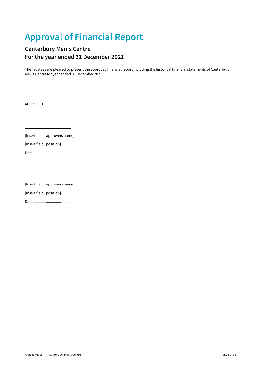## **Approval of Financial Report**

## **Canterbury Men's Centre For the year ended 31 December 2021**

The Trustees are pleased to present the approved financial report including the historical financial statements of Canterbury Men's Centre for year ended 31 December 2021.

APPROVED

[Insert field: approvers name]

[Insert field: position]

Date .....................................

 [Insert field: approvers name]

[Insert field: position]

Date .....................................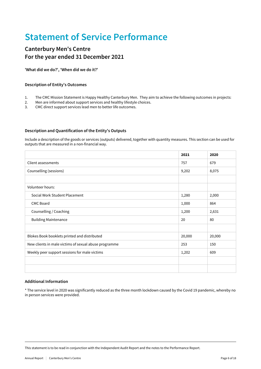## **Statement of Service Performance**

## **Canterbury Men's Centre For the year ended 31 December 2021**

**'What did we do?', 'When did we do it?'**

## **Description of Entity's Outcomes**

- 1. The CMC Mission Statement is Happy Healthy Canterbury Men. They aim to achieve the following outcomes in projects:
- 2. Men are informed about support services and healthy lifestyle choices.
- 3. CMC direct support services lead men to better life outcomes.

### **Description and Quantification of the Entity's Outputs**

Include a description of the goods or services (outputs) delivered, together with quantity measures. This section can be used for outputs that are measured in a non-financial way.

|                                                       | 2021   | 2020   |
|-------------------------------------------------------|--------|--------|
| Client assessments                                    | 757    | 679    |
| Counselling (sessions)                                | 9,202  | 8,075  |
|                                                       |        |        |
| Volunteer hours:                                      |        |        |
| Social Work Student Placement                         | 1,280  | 2,000  |
| <b>CMC Board</b>                                      | 1,000  | 864    |
| Counselling / Coaching                                | 1,200  | 2,631  |
| <b>Building Maintenance</b>                           | 20     | 80     |
|                                                       |        |        |
| Blokes Book booklets printed and distributed          | 20,000 | 20,000 |
| New clients in male victims of sexual abuse programme | 253    | 150    |
| Weekly peer support sessions for male victims         | 1,202  | 609    |
|                                                       |        |        |
|                                                       |        |        |

### **Additional Information**

\* The service level in 2020 was significantly reduced as the three month lockdown caused by the Covid 19 pandemic, whereby no in person services were provided.

This statement is to be read in conjunction with the Independent Audit Report and the notes to the Performance Report.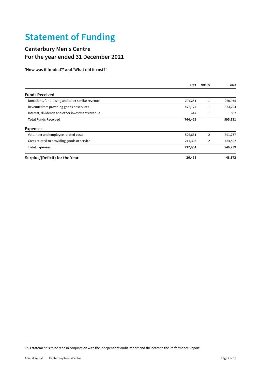## **Statement of Funding**

## **Canterbury Men's Centre For the year ended 31 December 2021**

**'How was it funded?' and 'What did it cost?'**

|                                                  | 2021    | <b>NOTES</b> | 2020    |
|--------------------------------------------------|---------|--------------|---------|
| <b>Funds Received</b>                            |         |              |         |
| Donations, fundraising and other similar revenue | 291,281 |              | 260,975 |
| Revenue from providing goods or services         | 472,724 |              | 333,294 |
| Interest, dividends and other investment revenue | 447     |              | 862     |
| <b>Total Funds Received</b>                      | 764,452 |              | 595,131 |
| <b>Expenses</b>                                  |         |              |         |
| Volunteer and employee related costs             | 526,651 | 2            | 391,737 |
| Costs related to providing goods or service      | 211,303 | 2            | 154,522 |
| <b>Total Expenses</b>                            | 737,954 |              | 546,259 |
| Surplus/(Deficit) for the Year                   | 26,498  |              | 48,872  |

This statement is to be read in conjunction with the Independent Audit Report and the notes to the Performance Report.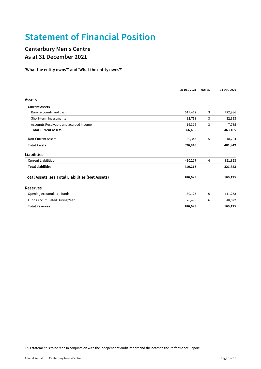## **Statement of Financial Position**

## **Canterbury Men's Centre As at 31 December 2021**

**'What the entity owns?' and 'What the entity owes?'**

|                                                         | 31 DEC 2021 | <b>NOTES</b> | 31 DEC 2020 |
|---------------------------------------------------------|-------------|--------------|-------------|
| <b>Assets</b>                                           |             |              |             |
| <b>Current Assets</b>                                   |             |              |             |
| Bank accounts and cash                                  | 517,412     | 3            | 422,986     |
| Short-term Investments                                  | 32,768      | 3            | 32,393      |
| Accounts Receivable and accrued income                  | 16,316      | 3            | 7,785       |
| <b>Total Current Assets</b>                             | 566,495     |              | 463,165     |
| Non-Current Assets                                      | 30,345      | 5            | 18,784      |
| <b>Total Assets</b>                                     | 596,840     |              | 481,949     |
| <b>Liabilities</b>                                      |             |              |             |
| <b>Current Liabilities</b>                              | 410,217     | 4            | 321,823     |
| <b>Total Liabilities</b>                                | 410,217     |              | 321,823     |
| <b>Total Assets less Total Liabilities (Net Assets)</b> | 186,623     |              | 160,125     |
| <b>Reserves</b>                                         |             |              |             |
| Opening Accumulated funds                               | 160,125     | 6            | 111,253     |
| Funds Accumulated During Year                           | 26,498      | 6            | 48,872      |
| <b>Total Reserves</b>                                   | 186,623     |              | 160,125     |

This statement is to be read in conjunction with the Independent Audit Report and the notes to the Performance Report.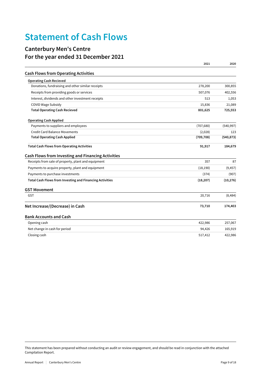## **Statement of Cash Flows**

## **Canterbury Men's Centre For the year ended 31 December 2021**

|                                                           | 2021       | 2020       |
|-----------------------------------------------------------|------------|------------|
| <b>Cash Flows from Operating Activities</b>               |            |            |
| <b>Operating Cash Recieved</b>                            |            |            |
| Donations, fundraising and other similar receipts         | 278,200    | 300,855    |
| Receipts from providing goods or services                 | 507,076    | 402,556    |
| Interest, dividends and other investment receipts         | 513        | 1,053      |
| <b>COVID Wage Subsidy</b>                                 | 15,836     | 21,089     |
| <b>Total Operating Cash Recieved</b>                      | 801,625    | 725,553    |
| <b>Operating Cash Applied</b>                             |            |            |
| Payments to suppliers and employees                       | (707, 680) | (540, 997) |
| <b>Credit Card Balance Movements</b>                      | (2,028)    | 123        |
| <b>Total Operating Cash Applied</b>                       | (709, 708) | (540, 873) |
| <b>Total Cash Flows from Operating Activities</b>         | 91,917     | 184,679    |
| <b>Cash Flows from Investing and Financing Activities</b> |            |            |
| Receipts from sale of property, plant and equipment       | 357        | 87         |
| Payments to acquire property, plant and equipment         | (18, 190)  | (9, 457)   |
| Payments to purchase investments                          | (374)      | (907)      |
| Total Cash Flows from Investing and Financing Activities  | (18, 207)  | (10, 276)  |
| <b>GST Movement</b>                                       |            |            |
| <b>GST</b>                                                | 20,716     | (8, 484)   |
| Net Increase/(Decrease) in Cash                           | 73,710     | 174,403    |
| <b>Bank Accounts and Cash</b>                             |            |            |
| Opening cash                                              | 422,986    | 257,067    |
| Net change in cash for period                             | 94,426     | 165,919    |
| Closing cash                                              | 517,412    | 422,986    |
|                                                           |            |            |

This statement has been prepared without conducting an audit or review engagement, and should be read in conjunction with the attached Compilation Report.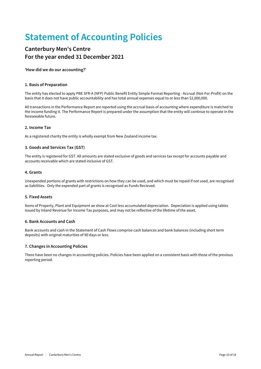## **Statement of Accounting Policies**

## **Canterbury Men's Centre For the year ended 31 December 2021**

**'How did we do our accounting?'**

### **1. Basis of Preparation**

The entity has elected to apply PBE SFR-A (NFP) Public Benefit Entity Simple Format Reporting - Accrual (Not-For-Profit) on the basis that it does not have public accountability and has total annual expenses equal to or less than \$2,000,000.

All transactions in the Performance Report are reported using the accrual basis of accounting where expenditure is matched to the income funding it. The Performance Report is prepared under the assumption that the entity will continue to operate in the foreseeable future.

## **2. Income Tax**

As a registered charity the entity is wholly exempt from New Zealand income tax.

### **3. Goods and Services Tax (GST)**

The entity is registered for GST. All amounts are stated exclusive of goods and services tax except for accounts payable and accounts receivable which are stated inclusive of GST.

### **4. Grants**

Unexpended portions of grants with restrictions on how they can be used, and which must be repaid if not used, are recognised as liabilities. Only the expended part of grants is recognised as Funds Recieved.

### **5. Fixed Assets**

Items of Property, Plant and Equipment ae show at Cost less accumulated depreciation. Depeciation is applied using tables issued by Inland Revenue for Income Tax purposes, and may not be reflective of the lifetime of the asset.

### **6. Bank Accounts and Cash**

Bank accounts and cash in the Statement of Cash Flows comprise cash balances and bank balances (including short term deposits) with original maturities of 90 days or less.

### **7. Changes in Accounting Policies**

There have been no changes in accounting policies. Policies have been applied on a consistent basis with those of the previous reporting period.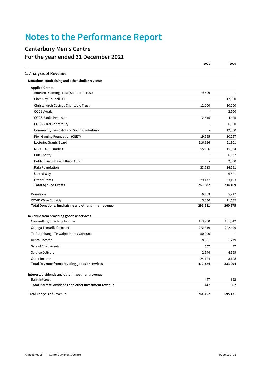## **Notes to the Performance Report**

## **Canterbury Men's Centre For the year ended 31 December 2021**

|                                                        | 2021                     | 2020    |
|--------------------------------------------------------|--------------------------|---------|
| 1. Analysis of Revenue                                 |                          |         |
| Donations, fundraising and other similar revenue       |                          |         |
| <b>Applied Grants</b>                                  |                          |         |
| Aotearoa Gaming Trust (Southern Trust)                 | 9,509                    |         |
| Chch City Council SCF                                  |                          | 17,500  |
| Christchurch Casinos Charitable Trust                  | 12,000                   | 10,000  |
| COGS Aoraki                                            | $\overline{\phantom{a}}$ | 2,500   |
| COGS Banks Peninsula                                   | 2,515                    | 4,485   |
| <b>COGS Rural Canterbury</b>                           |                          | 6,000   |
| Community Trust Mid and South Canterbury               |                          | 12,000  |
| Kiwi Gaming Foundation (CERT)                          | 19,565                   | 30,057  |
| Lotteries Grants Board                                 | 116,626                  | 51,301  |
| <b>MSD COVID Funding</b>                               | 55,606                   | 15,394  |
| Pub Charity                                            |                          | 6,667   |
| Public Trust - David Ellison Fund                      |                          | 2,000   |
| Rata Foundation                                        | 23,583                   | 36,561  |
| United Way                                             |                          | 6,581   |
| <b>Other Grants</b>                                    | 29,177                   | 33,123  |
| <b>Total Applied Grants</b>                            | 268,582                  | 234,169 |
| Donations                                              | 6,863                    | 5,717   |
| COVID Wage Subsidy                                     | 15,836                   | 21,089  |
| Total Donations, fundraising and other similar revenue | 291,281                  | 260,975 |
| Revenue from providing goods or services               |                          |         |
| Counselling/Coaching Income                            | 113,960                  | 101,642 |
| Oranga Tamariki Contract                               | 272,819                  | 222,409 |
| Te Putahitanga Te Waipounamu Contract                  | 50,000                   |         |
| Rental Income                                          | 8,661                    | 1,279   |
| Sale of Fixed Assets                                   | 357                      | 87      |
| Service Delivery                                       | 2,744                    | 4,769   |
| Other Income                                           | 24,184                   | 3,108   |
| Total Revenue from providing goods or services         | 472,724                  | 333,294 |
| Interest, dividends and other investment revenue       |                          |         |
| <b>Bank Interest</b>                                   | 447                      | 862     |
| Total Interest, dividends and other investment revenue | 447                      | 862     |
| <b>Total Analysis of Revenue</b>                       | 764,452                  | 595,131 |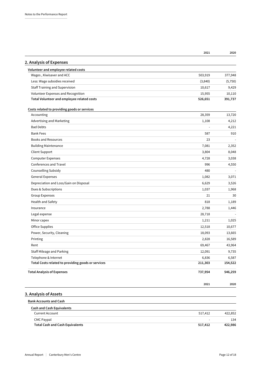|                                                            | 2021    | 2020    |
|------------------------------------------------------------|---------|---------|
| 2. Analysis of Expenses                                    |         |         |
| Volunteer and employee related costs                       |         |         |
| Wages, Kiwisaver and ACC                                   | 503,919 | 377,948 |
| Less: Wage subsidies received                              | (3,840) | (5,750) |
| <b>Staff Training and Supervision</b>                      | 10,617  | 9,429   |
| Volunteer Expenses and Recognition                         | 15,955  | 10,110  |
| Total Volunteer and employee related costs                 | 526,651 | 391,737 |
|                                                            |         |         |
| Costs related to providing goods or services<br>Accounting | 28,359  | 13,720  |
| Advertising and Marketing                                  | 1,108   | 4,212   |
| <b>Bad Debts</b>                                           |         |         |
|                                                            |         | 4,221   |
| <b>Bank Fees</b>                                           | 587     | 910     |
| <b>Books and Resources</b>                                 | 23      |         |
| <b>Building Maintenance</b>                                | 7,081   | 2,352   |
| Client Support                                             | 3,804   | 8,048   |
| <b>Computer Expenses</b>                                   | 4,728   | 3,038   |
| Conferences and Travel                                     | 996     | 4,550   |
| Counselling Subsidy                                        | 480     |         |
| <b>General Expenses</b>                                    | 1,082   | 3,071   |
| Depreciation and Loss/Gain on Disposal                     | 6,629   | 3,526   |
| Dues & Subscriptions                                       | 1,037   | 1,968   |
| <b>Group Expenses</b>                                      | 21      | 30      |
| Health and Safety                                          | 818     | 1,189   |
| Insurance                                                  | 2,788   | 1,446   |
| Legal expense                                              | 28,718  |         |
| Minor capex                                                | 1,211   | 1,025   |
| Office Supplies                                            | 12,518  | 10,677  |
| Power, Security, Cleaning                                  | 18,093  | 13,665  |
| Printing                                                   | 2,828   | 16,589  |
| Rent                                                       | 69,467  | 43,964  |
| Staff Mileage and Parking                                  | 12,091  | 9,735   |
| Telephone & Internet                                       | 6,836   | 6,587   |
| Total Costs related to providing goods or services         | 211,303 | 154,522 |
| <b>Total Analysis of Expenses</b>                          | 737,954 | 546,259 |
|                                                            |         |         |
|                                                            | 2021    | 2020    |
| 3. Analysis of Assets                                      |         |         |
| <b>Bank Accounts and Cash</b>                              |         |         |
| <b>Cash and Cash Equivalents</b>                           |         |         |
| <b>Current Account</b>                                     | 517,412 | 422,852 |
| <b>CMC Paypal</b>                                          |         | 134     |
| <b>Total Cash and Cash Equivalents</b>                     | 517,412 | 422,986 |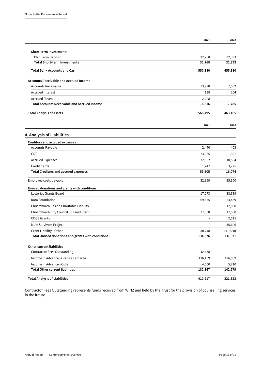|                                                     | 2021    | 2020     |
|-----------------------------------------------------|---------|----------|
| <b>Short-term Investments</b>                       |         |          |
| <b>BNZ Term Deposit</b>                             | 32,768  | 32,393   |
| <b>Total Short-term Investments</b>                 | 32,768  | 32,393   |
| <b>Total Bank Accounts and Cash</b>                 | 550,180 | 455,380  |
| <b>Accounts Receivable and Accrued Income</b>       |         |          |
| <b>Accounts Receivable</b>                          | 13,970  | 7,582    |
| <b>Accrued Interest</b>                             | 138     | 204      |
| <b>Accrued Revenue</b>                              | 2,208   |          |
| <b>Total Accounts Receivable and Accrued Income</b> | 16,316  | 7,785    |
| <b>Total Analysis of Assets</b>                     | 566,495 | 463,165  |
|                                                     | 2021    | 2020     |
| 4. Analysis of Liabilities                          |         |          |
| <b>Creditors and accrued expenses</b>               |         |          |
| <b>Accounts Payable</b>                             | 2,440   | 403      |
| <b>GST</b>                                          | 23,065  | 1,391    |
| <b>Accrued Expenses</b>                             | 32,552  | 10,504   |
| <b>Credit Cards</b>                                 | 1,747   | 3,775    |
| <b>Total Creditors and accrued expenses</b>         | 59,805  | 16,074   |
| Employee costs payable                              | 32,869  | 25,300   |
| Unused donations and grants with conditions         |         |          |
| Lotteries Grants Board                              | 17,073  | 38,699   |
| Rata Foundation                                     | 69,855  | 23,439   |
| Christchurch Casino Charitable Liability            | ÷,      | 12,000   |
| Christchurch City Council SC Fund Grant             | 17,500  | 17,500   |
| <b>COGS Grants</b>                                  |         | 2,515    |
| Male Survivors Project                              |         | 55,606   |
| Grant Liability - Other                             | 30,248  | (11,888) |
| Total Unused donations and grants with conditions   | 134,676 | 137,871  |
| <b>Other current liabilities</b>                    |         |          |
| <b>Contractor Fees Outstanding</b>                  | 42,458  |          |
| Income in Advance - Oranga Tamariki                 | 136,409 | 136,869  |
| Income in Advance - Other                           | 4,000   | 5,710    |
| <b>Total Other current liabilities</b>              | 182,867 | 142,579  |

**Total Analysis of Liabilities 410,217 321,823**

Contractor Fees Outstanding represents funds received from WINZ and held by the Trust for the provision of counselling services in the future.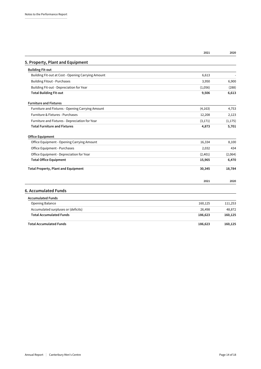|                                                    | 2021     | 2020     |
|----------------------------------------------------|----------|----------|
| 5. Property, Plant and Equipment                   |          |          |
| <b>Building Fit-out</b>                            |          |          |
| Building Fit-out at Cost - Opening Carrying Amount | 6,613    |          |
| <b>Building Fitout - Purchases</b>                 | 3,950    | 6,900    |
| Building Fit-out - Depreciation for Year           | (1,056)  | (288)    |
| <b>Total Building Fit-out</b>                      | 9,506    | 6,613    |
| <b>Furniture and Fixtures</b>                      |          |          |
| Furniture and Fixtures - Opening Carrying Amount   | (4, 163) | 4,753    |
| Furniture & Fixtures - Purchases                   | 12,208   | 2,123    |
| Furniture and Fixtures - Depreciation for Year     | (3, 171) | (1, 175) |
| <b>Total Furniture and Fixtures</b>                | 4,873    | 5,701    |
| <b>Office Equipment</b>                            |          |          |
| Office Equipment - Opening Carrying Amount         | 16,334   | 8,100    |
| Office Equipment - Purchases                       | 2,032    | 434      |
| Office Equipment - Depreciation for Year           | (2,401)  | (2,064)  |
| <b>Total Office Equipment</b>                      | 15,965   | 6,470    |
| <b>Total Property, Plant and Equipment</b>         | 30,345   | 18,784   |
|                                                    | 2021     | 2020     |
| 6. Accumulated Funds                               |          |          |
| <b>Accumulated Funds</b>                           |          |          |
| Opening Balance                                    | 160,125  | 111,253  |
| Accumulated surpluses or (deficits)                | 26,498   | 48,872   |
| <b>Total Accumulated Funds</b>                     | 186,623  | 160,125  |
| <b>Total Accumulated Funds</b>                     | 186,623  | 160,125  |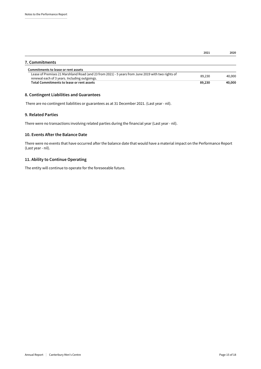|                                                                                                                                                     | 2021   | 2020   |
|-----------------------------------------------------------------------------------------------------------------------------------------------------|--------|--------|
| 7. Commitments                                                                                                                                      |        |        |
| Commitments to lease or rent assets                                                                                                                 |        |        |
| Lease of Premises 21 Marshland Road (and 23 from 2021) - 5 years from June 2019 with two rights of<br>renewal each of 3 years. Including outgoings. | 89.230 | 40,000 |
| <b>Total Commitments to lease or rent assets</b>                                                                                                    | 89,230 | 40,000 |

## **8. Contingent Liabilities and Guarantees**

There are no contingent liabilities or guarantees as at 31 December 2021. (Last year - nil).

### **9. Related Parties**

There were no transactions involving related parties during the financial year (Last year - nil).

### **10. Events After the Balance Date**

There were no events that have occurred after the balance date that would have a material impact on the Performance Report (Last year - nil).

## **11. Ability to Continue Operating**

The entity will continue to operate for the foreseeable future.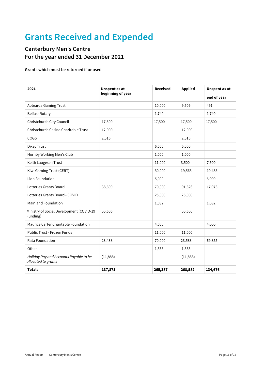## **Grants Received and Expended**

## **Canterbury Men's Centre For the year ended 31 December 2021**

## **Grants which must be returned if unused**

| 2021                                                          | <b>Unspent as at</b><br>beginning of year | <b>Received</b> | <b>Applied</b> | <b>Unspent as at</b><br>end of year |
|---------------------------------------------------------------|-------------------------------------------|-----------------|----------------|-------------------------------------|
| Aotearoa Gaming Trust                                         |                                           | 10,000          | 9,509          | 491                                 |
| <b>Belfast Rotary</b>                                         |                                           | 1,740           |                | 1,740                               |
| Christchurch City Council                                     | 17,500                                    | 17,500          | 17,500         | 17,500                              |
| Christchurch Casino Charitable Trust                          | 12,000                                    |                 | 12,000         |                                     |
| COGS                                                          | 2,516                                     |                 | 2,516          |                                     |
| Dixey Trust                                                   |                                           | 6,500           | 6,500          |                                     |
| Hornby Working Men's Club                                     |                                           | 1,000           | 1,000          |                                     |
| Keith Laugesen Trust                                          |                                           | 11,000          | 3,500          | 7,500                               |
| Kiwi Gaming Trust (CERT)                                      |                                           | 30,000          | 19,565         | 10,435                              |
| Lion Foundation                                               |                                           | 5,000           |                | 5,000                               |
| Lotteries Grants Board                                        | 38,699                                    | 70,000          | 91,626         | 17,073                              |
| Lotteries Grants Board - COVID                                |                                           | 25,000          | 25,000         |                                     |
| <b>Mainland Foundation</b>                                    |                                           | 1,082           |                | 1,082                               |
| Ministry of Social Development (COVID-19<br>Funding)          | 55,606                                    |                 | 55,606         |                                     |
| Maurice Carter Charitable Foundation                          |                                           | 4,000           |                | 4,000                               |
| Public Trust - Frozen Funds                                   |                                           | 11,000          | 11,000         |                                     |
| Rata Foundation                                               | 23,438                                    | 70,000          | 23,583         | 69,855                              |
| Other                                                         |                                           | 1,565           | 1,565          |                                     |
| Holiday Pay and Accounts Payable to be<br>allocated to grants | (11,888)                                  |                 | (11,888)       |                                     |
| <b>Totals</b>                                                 | 137,871                                   | 265,387         | 268,582        | 134,676                             |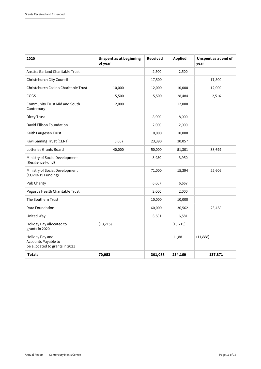| 2020                                                                     | <b>Unspent as at beginning</b><br>of year | Received | <b>Applied</b> | Unspent as at end of<br>year |
|--------------------------------------------------------------------------|-------------------------------------------|----------|----------------|------------------------------|
| <b>Anstiss Garland Charitable Trust</b>                                  |                                           | 2,500    | 2,500          |                              |
| Christchurch City Council                                                |                                           | 17,500   |                | 17,500                       |
| Christchurch Casino Charitable Trust                                     | 10,000                                    | 12,000   | 10,000         | 12,000                       |
| COGS                                                                     | 15,500                                    | 15,500   | 28,484         | 2,516                        |
| <b>Community Trust Mid and South</b><br>Canterbury                       | 12,000                                    |          | 12,000         |                              |
| Dixey Trust                                                              |                                           | 8,000    | 8,000          |                              |
| David Ellison Foundation                                                 |                                           | 2,000    | 2,000          |                              |
| Keith Laugesen Trust                                                     |                                           | 10,000   | 10,000         |                              |
| Kiwi Gaming Trust (CERT)                                                 | 6,667                                     | 23,390   | 30,057         |                              |
| Lotteries Grants Board                                                   | 40,000                                    | 50,000   | 51,301         | 38,699                       |
| Ministry of Social Development<br>(Resilience Fund)                      |                                           | 3,950    | 3,950          |                              |
| Ministry of Social Development<br>(COVID-19 Funding)                     |                                           | 71,000   | 15,394         | 55,606                       |
| Pub Charity                                                              |                                           | 6,667    | 6,667          |                              |
| Pegasus Health Charitable Trust                                          |                                           | 2,000    | 2,000          |                              |
| The Southern Trust                                                       |                                           | 10,000   | 10,000         |                              |
| Rata Foundation                                                          |                                           | 60,000   | 36,562         | 23,438                       |
| United Way                                                               |                                           | 6,581    | 6,581          |                              |
| Holiday Pay allocated to<br>grants in 2020                               | (13, 215)                                 |          | (13, 215)      |                              |
| Holiday Pay and<br>Accounts Payable to<br>be allocated to grants in 2021 |                                           |          | 11,881         | (11,888)                     |
| <b>Totals</b>                                                            | 70,952                                    | 301,088  | 234,169        | 137,871                      |